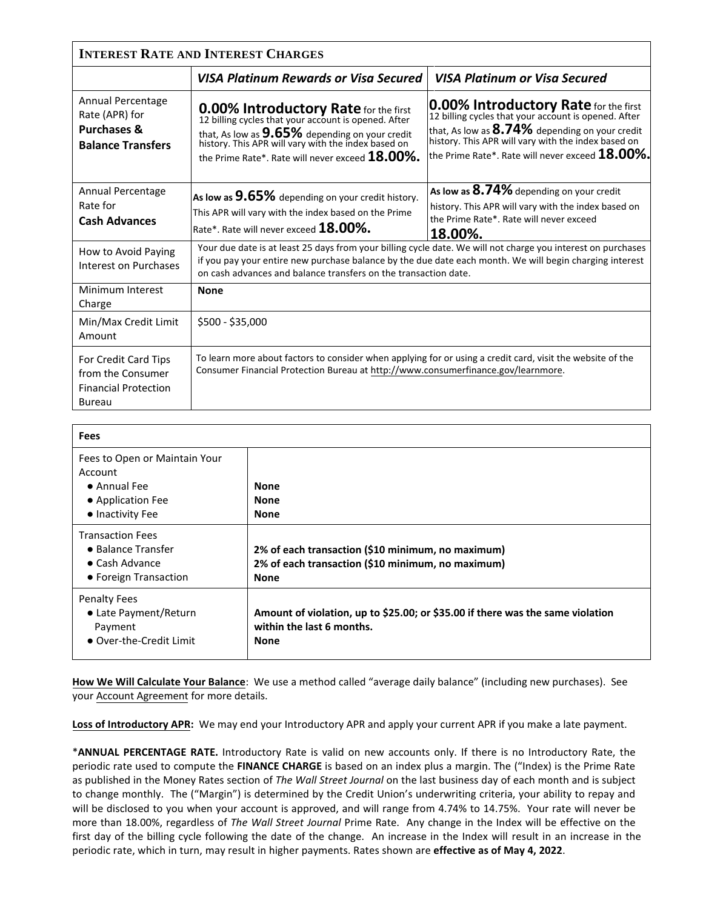| <b>INTEREST RATE AND INTEREST CHARGES</b>                                                 |                                                                                                                                                                                                                                                                                            |                                                                                                                                                                                                                                                                              |
|-------------------------------------------------------------------------------------------|--------------------------------------------------------------------------------------------------------------------------------------------------------------------------------------------------------------------------------------------------------------------------------------------|------------------------------------------------------------------------------------------------------------------------------------------------------------------------------------------------------------------------------------------------------------------------------|
|                                                                                           | <b>VISA Platinum Rewards or Visa Secured</b>                                                                                                                                                                                                                                               | <b>VISA Platinum or Visa Secured</b>                                                                                                                                                                                                                                         |
| Annual Percentage<br>Rate (APR) for<br><b>Purchases &amp;</b><br><b>Balance Transfers</b> | <b>0.00% Introductory Rate</b> for the first<br>12 billing cycles that your account is opened. After<br>that, As low as 9.65% depending on your credit<br>history. This APR will vary with the index based on<br>the Prime Rate*. Rate will never exceed 18.00%.                           | <b>0.00% Introductory Rate for the first</b><br>12 billing cycles that your account is opened. After<br>that, As low as $8.74\%$ depending on your credit<br>history. This APR will vary with the index based on<br>the Prime Rate*. Rate will never exceed ${\bf 18.00\%}.$ |
| Annual Percentage<br>Rate for<br><b>Cash Advances</b>                                     | As low as $9.65\%$ depending on your credit history.<br>This APR will vary with the index based on the Prime<br>Rate*. Rate will never exceed 18.00%.                                                                                                                                      | As low as $8.74\%$ depending on your credit<br>history. This APR will vary with the index based on<br>the Prime Rate*. Rate will never exceed<br>18.00%.                                                                                                                     |
| How to Avoid Paying<br>Interest on Purchases                                              | Your due date is at least 25 days from your billing cycle date. We will not charge you interest on purchases<br>if you pay your entire new purchase balance by the due date each month. We will begin charging interest<br>on cash advances and balance transfers on the transaction date. |                                                                                                                                                                                                                                                                              |
| Minimum Interest<br>Charge                                                                | <b>None</b>                                                                                                                                                                                                                                                                                |                                                                                                                                                                                                                                                                              |
| Min/Max Credit Limit<br>Amount                                                            | \$500 - \$35,000                                                                                                                                                                                                                                                                           |                                                                                                                                                                                                                                                                              |
| For Credit Card Tips<br>from the Consumer<br><b>Financial Protection</b><br>Bureau        | To learn more about factors to consider when applying for or using a credit card, visit the website of the<br>Consumer Financial Protection Bureau at http://www.consumerfinance.gov/learnmore.                                                                                            |                                                                                                                                                                                                                                                                              |

| <b>Fees</b>                                                                                               |                                                                                                                            |  |
|-----------------------------------------------------------------------------------------------------------|----------------------------------------------------------------------------------------------------------------------------|--|
| Fees to Open or Maintain Your<br>Account<br>$\bullet$ Annual Fee<br>• Application Fee<br>• Inactivity Fee | <b>None</b><br><b>None</b><br><b>None</b>                                                                                  |  |
| <b>Transaction Fees</b><br>• Balance Transfer<br>$\bullet$ Cash Advance<br>• Foreign Transaction          | 2% of each transaction (\$10 minimum, no maximum)<br>2% of each transaction (\$10 minimum, no maximum)<br><b>None</b>      |  |
| <b>Penalty Fees</b><br>• Late Payment/Return<br>Payment<br>· Over-the-Credit Limit                        | Amount of violation, up to \$25.00; or \$35.00 if there was the same violation<br>within the last 6 months.<br><b>None</b> |  |

**How We Will Calculate Your Balance**: We use a method called "average daily balance" (including new purchases). See your Account Agreement for more details.

**Loss of Introductory APR:** We may end your Introductory APR and apply your current APR if you make a late payment.

\***ANNUAL PERCENTAGE RATE.** Introductory Rate is valid on new accounts only. If there is no Introductory Rate, the periodic rate used to compute the **FINANCE CHARGE** is based on an index plus a margin. The ("Index) is the Prime Rate as published in the Money Rates section of *The Wall Street Journal* on the last business day of each month and is subject to change monthly. The ("Margin") is determined by the Credit Union's underwriting criteria, your ability to repay and will be disclosed to you when your account is approved, and will range from 4.74% to 14.75%. Your rate will never be more than 18.00%, regardless of *The Wall Street Journal* Prime Rate. Any change in the Index will be effective on the first day of the billing cycle following the date of the change. An increase in the Index will result in an increase in the periodic rate, which in turn, may result in higher payments. Rates shown are **effective as of May 4, 2022**.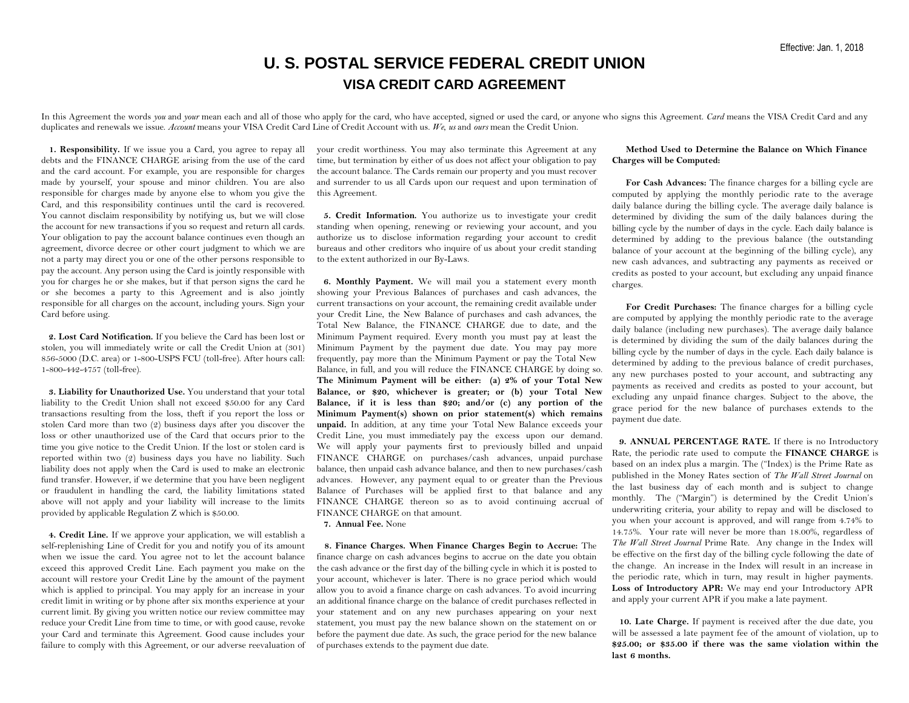# **U. S. POSTAL SERVICE FEDERAL CREDIT UNION VISA CREDIT CARD AGREEMENT**

In this Agreement the words you and your mean each and all of those who apply for the card, who have accepted, signed or used the card, or anyone who signs this Agreement. Card means the VISA Credit Card and any duplicates and renewals we issue. *Account* means your VISA Credit Card Line of Credit Account with us. *We*, *us* and *ours* mean the Credit Union.

**1. Responsibility.** If we issue you a Card, you agree to repay all debts and the FINANCE CHARGE arising from the use of the card and the card account. For example, you are responsible for charges made by yourself, your spouse and minor children. You are also responsible for charges made by anyone else to whom you give the Card, and this responsibility continues until the card is recovered. You cannot disclaim responsibility by notifying us, but we will close the account for new transactions if you so request and return all cards. Your obligation to pay the account balance continues even though an agreement, divorce decree or other court judgment to which we are not a party may direct you or one of the other persons responsible to pay the account. Any person using the Card is jointly responsible with you for charges he or she makes, but if that person signs the card he or she becomes a party to this Agreement and is also jointly responsible for all charges on the account, including yours. Sign your Card before using.

**2. Lost Card Notification.** If you believe the Card has been lost or stolen, you will immediately write or call the Credit Union at (301) 856-5000 (D.C. area) or 1-800-USPS FCU (toll-free). After hours call: 1-800-442-4757 (toll-free).

**3. Liability for Unauthorized Use.** You understand that your total liability to the Credit Union shall not exceed \$50.00 for any Card transactions resulting from the loss, theft if you report the loss or stolen Card more than two (2) business days after you discover the loss or other unauthorized use of the Card that occurs prior to the time you give notice to the Credit Union. If the lost or stolen card is reported within two (2) business days you have no liability. Such liability does not apply when the Card is used to make an electronic fund transfer. However, if we determine that you have been negligent or fraudulent in handling the card, the liability limitations stated above will not apply and your liability will increase to the limits provided by applicable Regulation Z which is \$50.00.

**4. Credit Line.** If we approve your application, we will establish a self-replenishing Line of Credit for you and notify you of its amount when we issue the card. You agree not to let the account balance exceed this approved Credit Line. Each payment you make on the account will restore your Credit Line by the amount of the payment which is applied to principal. You may apply for an increase in your credit limit in writing or by phone after six months experience at your current limit. By giving you written notice our review committee may reduce your Credit Line from time to time, or with good cause, revoke your Card and terminate this Agreement. Good cause includes your failure to comply with this Agreement, or our adverse reevaluation of your credit worthiness. You may also terminate this Agreement at any time, but termination by either of us does not affect your obligation to pay the account balance. The Cards remain our property and you must recover and surrender to us all Cards upon our request and upon termination of this Agreement.

**5. Credit Information.** You authorize us to investigate your credit standing when opening, renewing or reviewing your account, and you authorize us to disclose information regarding your account to credit bureaus and other creditors who inquire of us about your credit standing to the extent authorized in our By-Laws.

**6. Monthly Payment.** We will mail you a statement every month showing your Previous Balances of purchases and cash advances, the current transactions on your account, the remaining credit available under your Credit Line, the New Balance of purchases and cash advances, the Total New Balance, the FINANCE CHARGE due to date, and the Minimum Payment required. Every month you must pay at least the Minimum Payment by the payment due date. You may pay more frequently, pay more than the Minimum Payment or pay the Total New Balance, in full, and you will reduce the FINANCE CHARGE by doing so. **The Minimum Payment will be either: (a) 2% of your Total New Balance, or \$20, whichever is greater; or (b) your Total New Balance, if it is less than \$20; and/or (c) any portion of the Minimum Payment(s) shown on prior statement(s) which remains unpaid.** In addition, at any time your Total New Balance exceeds your Credit Line, you must immediately pay the excess upon our demand. We will apply your payments first to previously billed and unpaid FINANCE CHARGE on purchases/cash advances, unpaid purchase balance, then unpaid cash advance balance, and then to new purchases/cash advances. However, any payment equal to or greater than the Previous Balance of Purchases will be applied first to that balance and any FINANCE CHARGE thereon so as to avoid continuing accrual of FINANCE CHARGE on that amount.

**7. Annual Fee.** None

**8. Finance Charges. When Finance Charges Begin to Accrue:** The finance charge on cash advances begins to accrue on the date you obtain the cash advance or the first day of the billing cycle in which it is posted to your account, whichever is later. There is no grace period which would allow you to avoid a finance charge on cash advances. To avoid incurring an additional finance charge on the balance of credit purchases reflected in your statement and on any new purchases appearing on your next statement, you must pay the new balance shown on the statement on or before the payment due date. As such, the grace period for the new balance of purchases extends to the payment due date.

### **Method Used to Determine the Balance on Which Finance Charges will be Computed:**

**For Cash Advances:** The finance charges for a billing cycle are computed by applying the monthly periodic rate to the average daily balance during the billing cycle. The average daily balance is determined by dividing the sum of the daily balances during the billing cycle by the number of days in the cycle. Each daily balance is determined by adding to the previous balance (the outstanding balance of your account at the beginning of the billing cycle), any new cash advances, and subtracting any payments as received or credits as posted to your account, but excluding any unpaid finance charges.

**For Credit Purchases:** The finance charges for a billing cycle are computed by applying the monthly periodic rate to the average daily balance (including new purchases). The average daily balance is determined by dividing the sum of the daily balances during the billing cycle by the number of days in the cycle. Each daily balance is determined by adding to the previous balance of credit purchases, any new purchases posted to your account, and subtracting any payments as received and credits as posted to your account, but excluding any unpaid finance charges. Subject to the above, the grace period for the new balance of purchases extends to the payment due date.

**9. ANNUAL PERCENTAGE RATE.** If there is no Introductory Rate, the periodic rate used to compute the **FINANCE CHARGE** is based on an index plus a margin. The ("Index) is the Prime Rate as published in the Money Rates section of *The Wall Street Journal* on the last business day of each month and is subject to change monthly. The ("Margin") is determined by the Credit Union's underwriting criteria, your ability to repay and will be disclosed to you when your account is approved, and will range from 4.74% to 14.75%. Your rate will never be more than 18.00%, regardless of *The Wall Street Journal* Prime Rate. Any change in the Index will be effective on the first day of the billing cycle following the date of the change. An increase in the Index will result in an increase in the periodic rate, which in turn, may result in higher payments. **Loss of Introductory APR:** We may end your Introductory APR and apply your current APR if you make a late payment.

 **10. Late Charge.** If payment is received after the due date, you **\$25.00; or \$35.00 if there was the same violation within the**  will be assessed a late payment fee of the amount of violation, up to **last 6 months.**